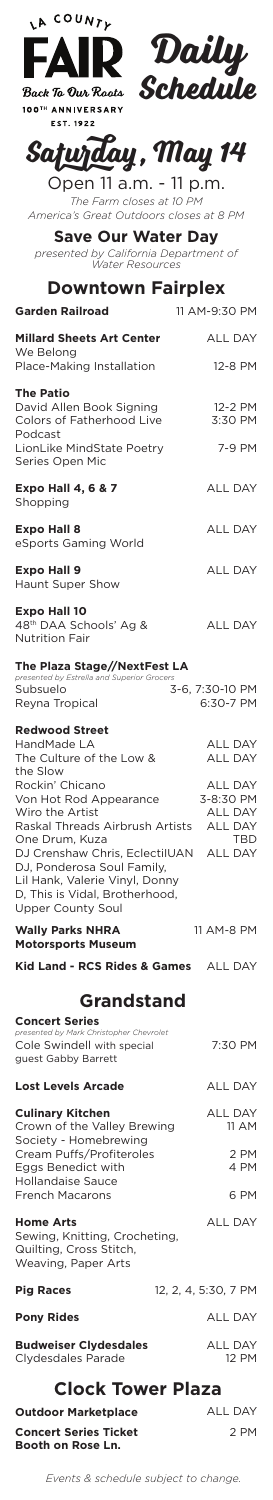

**EST. 1922** 

**Daily Schedule**

## **Saturday, May 14**

Open 11 a.m. - 11 p.m. *The Farm closes at 10 PM America's Great Outdoors closes at 8 PM*

**Save Our Water Day** *presented by California Department of* 

*Water Resources* **Downtown Fairplex**

| <b>Garden Railroad</b>                                                                                                                                               | 11 AM-9:30 PM                                                                 |  |
|----------------------------------------------------------------------------------------------------------------------------------------------------------------------|-------------------------------------------------------------------------------|--|
| <b>Millard Sheets Art Center</b><br>We Belong                                                                                                                        | <b>ALL DAY</b>                                                                |  |
| Place-Making Installation                                                                                                                                            | 12-8 PM                                                                       |  |
| <b>The Patio</b><br>David Allen Book Signing<br>Colors of Fatherhood Live<br>Podcast<br>LionLike MindState Poetry                                                    | 12-2 PM<br>3:30 PM<br>7-9 PM                                                  |  |
| Series Open Mic                                                                                                                                                      |                                                                               |  |
| <b>Expo Hall 4, 6 &amp; 7</b><br>Shopping                                                                                                                            | <b>ALL DAY</b>                                                                |  |
| <b>Expo Hall 8</b><br>eSports Gaming World                                                                                                                           | <b>ALL DAY</b>                                                                |  |
| <b>Expo Hall 9</b><br><b>Haunt Super Show</b>                                                                                                                        | <b>ALL DAY</b>                                                                |  |
| <b>Expo Hall 10</b><br>48 <sup>th</sup> DAA Schools' Ag &<br><b>Nutrition Fair</b>                                                                                   | <b>ALL DAY</b>                                                                |  |
| The Plaza Stage//NextFest LA<br>presented by Estrella and Superior Grocers                                                                                           |                                                                               |  |
| Subsuelo<br>Reyna Tropical                                                                                                                                           | 3-6, 7:30-10 PM<br>6:30-7 PM                                                  |  |
| <b>Redwood Street</b><br>HandMade LA<br>The Culture of the Low &<br>the Slow                                                                                         | <b>ALL DAY</b><br>ALL DAY                                                     |  |
| Rockin' Chicano<br>Von Hot Rod Appearance<br>Wiro the Artist<br>Raskal Threads Airbrush Artists<br>One Drum, Kuza                                                    | <b>ALL DAY</b><br>3-8:30 PM<br><b>ALL DAY</b><br><b>ALL DAY</b><br><b>TBD</b> |  |
| DJ Crenshaw Chris, EclectilUAN ALL DAY<br>DJ, Ponderosa Soul Family,<br>Lil Hank, Valerie Vinyl, Donny<br>D, This is Vidal, Brotherhood,<br><b>Upper County Soul</b> |                                                                               |  |
| <b>Wally Parks NHRA</b><br><b>Motorsports Museum</b>                                                                                                                 | 11 AM-8 PM                                                                    |  |
| Kid Land - RCS Rides & Games ALL DAY                                                                                                                                 |                                                                               |  |
| <b>Grandstand</b>                                                                                                                                                    |                                                                               |  |
| <b>Concert Series</b><br>presented by Mark Christopher Chevrolet                                                                                                     |                                                                               |  |

ALL DAY

ALL DAY 11 AM

7:30 PM Cole Swindell with special guest Gabby Barrett

**Lost Levels Arcade**

**Culinary Kitchen** Crown of the Valley Brewing

| Society - Homebrewing         |                      |  |
|-------------------------------|----------------------|--|
| Cream Puffs/Profiteroles      | 2 PM                 |  |
| Eggs Benedict with            | 4 PM                 |  |
| <b>Hollandaise Sauce</b>      |                      |  |
| <b>French Macarons</b>        | 6 PM                 |  |
| <b>Home Arts</b>              | <b>ALL DAY</b>       |  |
| Sewing, Knitting, Crocheting, |                      |  |
| Quilting, Cross Stitch,       |                      |  |
| Weaving, Paper Arts           |                      |  |
| <b>Pig Races</b>              | 12, 2, 4, 5:30, 7 PM |  |
|                               |                      |  |
| <b>Pony Rides</b>             | <b>ALL DAY</b>       |  |
| <b>Budweiser Clydesdales</b>  | <b>ALL DAY</b>       |  |
| Clydesdales Parade            | 12 PM                |  |
|                               |                      |  |
| <b>Clock Tower Plaza</b>      |                      |  |
|                               |                      |  |
| <b>Outdoor Marketplace</b>    | <b>ALL DAY</b>       |  |
| <b>Concert Series Ticket</b>  | 2 PM                 |  |
| Booth on Rose Ln.             |                      |  |
|                               |                      |  |

*Events & schedule subject to change.*